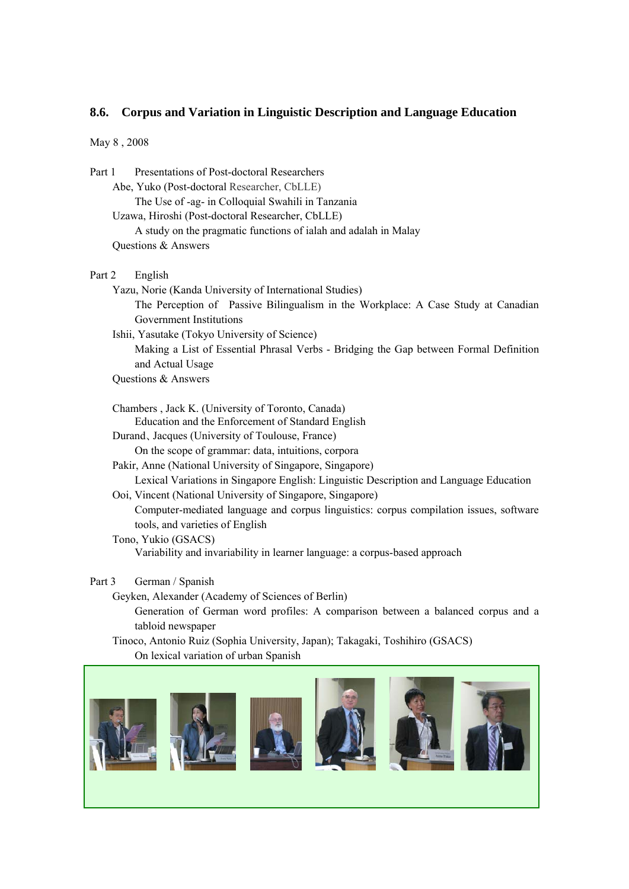## **8.6. Corpus and Variation in Linguistic Description and Language Education**

May 8 , 2008

| Part 1 | Presentations of Post-doctoral Researchers                                        |
|--------|-----------------------------------------------------------------------------------|
|        | Abe, Yuko (Post-doctoral Researcher, CbLLE)                                       |
|        | The Use of -ag- in Colloquial Swahili in Tanzania                                 |
|        | Uzawa, Hiroshi (Post-doctoral Researcher, CbLLE)                                  |
|        | A study on the pragmatic functions of ialah and adalah in Malay                   |
|        | Questions & Answers                                                               |
| Part 2 | English                                                                           |
|        | Yazu, Norie (Kanda University of International Studies)                           |
|        | The Perception of Passive Bilingualism in the Workplace: A Case Study at Canadian |
|        | Government Institutions                                                           |

 Ishii, Yasutake (Tokyo University of Science) Making a List of Essential Phrasal Verbs - Bridging the Gap between Formal Definition and Actual Usage

- Questions & Answers
- Chambers , Jack K. (University of Toronto, Canada) Education and the Enforcement of Standard English
- Durand、Jacques (University of Toulouse, France)

On the scope of grammar: data, intuitions, corpora

- Pakir, Anne (National University of Singapore, Singapore) Lexical Variations in Singapore English: Linguistic Description and Language Education
- Ooi, Vincent (National University of Singapore, Singapore) Computer-mediated language and corpus linguistics: corpus compilation issues, software tools, and varieties of English
- Tono, Yukio (GSACS) Variability and invariability in learner language: a corpus-based approach

Part 3 German / Spanish

Geyken, Alexander (Academy of Sciences of Berlin)

 Generation of German word profiles: A comparison between a balanced corpus and a tabloid newspaper

 Tinoco, Antonio Ruiz (Sophia University, Japan); Takagaki, Toshihiro (GSACS) On lexical variation of urban Spanish

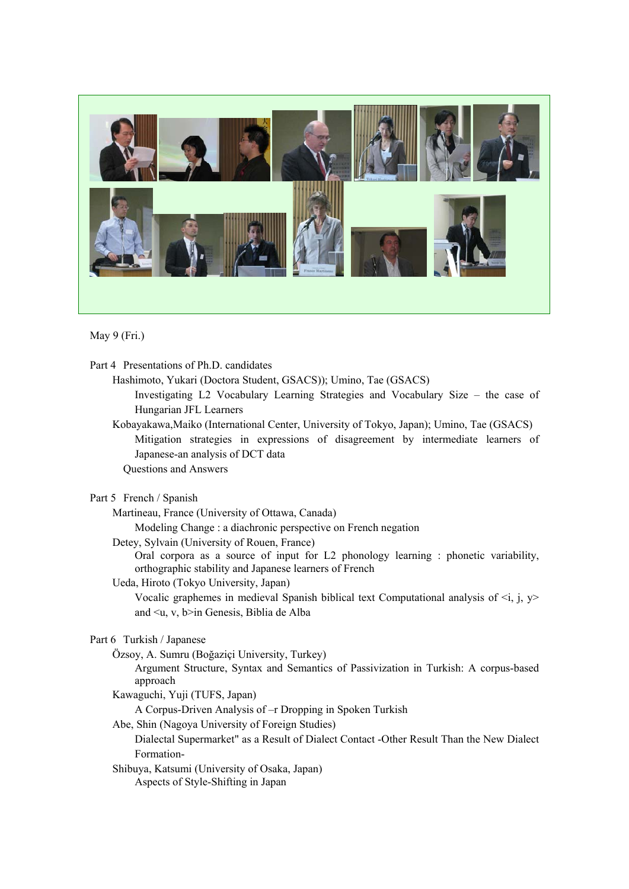

May 9 (Fri.)

Part 4 Presentations of Ph.D. candidates

Hashimoto, Yukari (Doctora Student, GSACS)); Umino, Tae (GSACS)

Investigating L2 Vocabulary Learning Strategies and Vocabulary Size – the case of Hungarian JFL Learners

Kobayakawa,Maiko (International Center, University of Tokyo, Japan); Umino, Tae (GSACS) Mitigation strategies in expressions of disagreement by intermediate learners of Japanese-an analysis of DCT data

Questions and Answers

Part 5 French / Spanish

Martineau, France (University of Ottawa, Canada)

Modeling Change : a diachronic perspective on French negation

Detey, Sylvain (University of Rouen, France)

Oral corpora as a source of input for L2 phonology learning : phonetic variability, orthographic stability and Japanese learners of French

Ueda, Hiroto (Tokyo University, Japan)

Vocalic graphemes in medieval Spanish biblical text Computational analysis of  $\leq i$ , j,  $y$ and <u, v, b>in Genesis, Biblia de Alba

## Part 6 Turkish / Japanese

Özsoy, A. Sumru (Boğaziçi University, Turkey)

Argument Structure, Syntax and Semantics of Passivization in Turkish: A corpus-based approach

Kawaguchi, Yuji (TUFS, Japan)

A Corpus-Driven Analysis of –r Dropping in Spoken Turkish

Abe, Shin (Nagoya University of Foreign Studies)

Dialectal Supermarket" as a Result of Dialect Contact -Other Result Than the New Dialect Formation-

Shibuya, Katsumi (University of Osaka, Japan)

Aspects of Style-Shifting in Japan